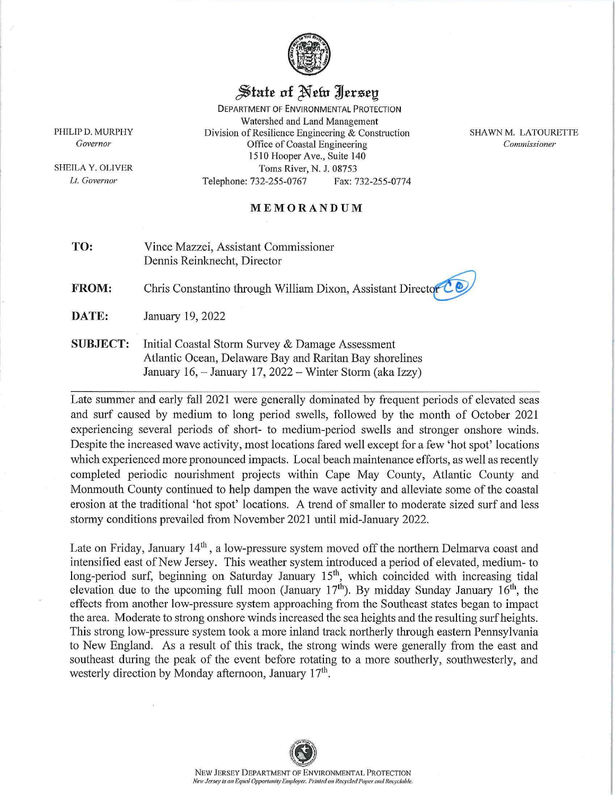

## $\frac{1}{2}$  state of Netv *Jersey*

DEPARTMENT OF ENVIRONMENTAL PROTECTION Watershed and Land Management **Division of Resilience Engineering & Construction** Office of Coastal Engineering 1510 Hooper Ave., Suite 140 Toms River, N. 1. 08753 Telepbone: 732-255-0767 Fax: 732-255-0774

SHAWN M. LATOURETTE *Commissioner* 

## **MEMORANDUM**

**TO:** Vince Mazzei, Assistant Commissioner Dennis Reinknecht, Director

**FROM:** Chris Constantino through William Dixon, Assistant Director

**DATE:** January 19, 2022

**SUBJECT:** Initial Coastal Storm Survey & Damage Assessment Atlantic Ocean, Delaware Bay and Raritan Bay shorelines January 16,  $-$  January 17, 2022  $-$  Winter Storm (aka Izzy)

Late summer and early fall 2021 were generally dominated by frequent periods of elevated seas and surf caused by medium to long period swells, followed by the month of October 2021 experiencing several periods of short- to medium-period swells and stronger onshore winds. Despite the increased wave activity, most locations fared well except for a few 'hot spot' locations which experienced more pronounced impacts. Local beach maintenance efforts, as well as recently completed periodic nourishment projects within Cape May County, Atlantic County and Momnouth County continued to help dampen the wave activity and alleviate some of the coastal erosion at the traditional 'hot spot' locations. A trend of smaller to moderate sized surf and less stormy conditions prevailed from November 2021 until mid-January 2022.

Late on Friday, January  $14<sup>th</sup>$ , a low-pressure system moved off the northern Delmarva coast and intensified east of New Jersey. This weather system introduced a period of elevated, medium- to long-period surf, beginning on Saturday January 15<sup>th</sup>, which coincided with increasing tidal elevation due to the upcoming full moon (January  $17<sup>th</sup>$ ). By midday Sunday January  $16<sup>th</sup>$ , the effects from another low-pressure system approaching from the Southeast states began to impact the area. Moderate to strong onshore winds increased the sea heights and the resulting surf heights. This strong low-pressure system took a more inland track northerly through eastern Pennsylvania to New England. As a result of this track, the strong winds were generally from the east and southeast during the peak of the event before rotating to a more southerly, southwesterly, and westerly direction by Monday afternoon, January 17<sup>th</sup>.

PHILIP D. MURPHY Governor

SHEILA Y. OLIVER **Lt.** *Governor*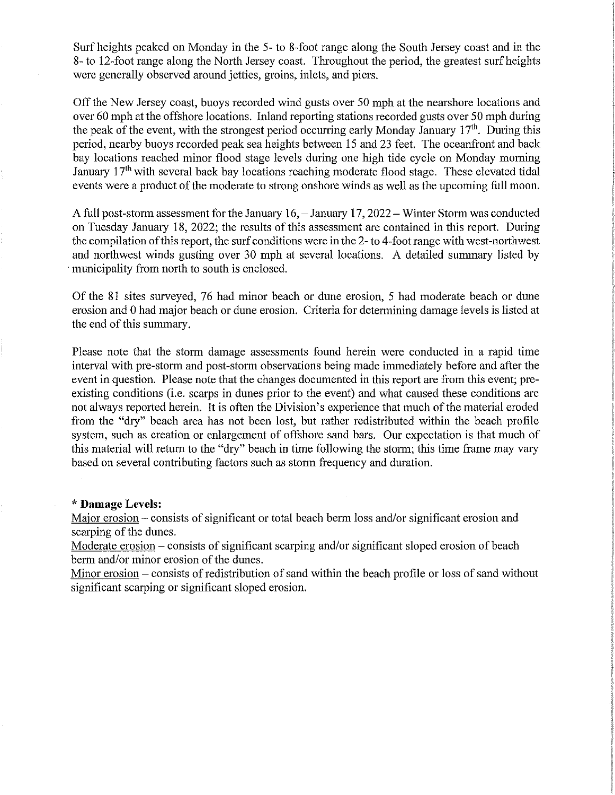Surf heights peaked on Monday in the 5- to 8-foot range along the South Jersey coast and in the 8- to 12-foot range along the North Jersey coast. Throughout the period, the greatest surf heights were generally observed around jetties, groins, inlets, and piers.

Off the New Jersey coast, buoys recorded wind gusts over 50 mph at the nearshore locations and over 60 mph at the offshore locations. Inland reporting stations recorded gusts over 50 mph during the peak of the event, with the strongest period occurring early Monday January  $17<sup>th</sup>$ . During this period, nearby buoys recorded peak sea heights between 15 and 23 feet. The oceanfront and back bay locations reached minor flood stage levels during one high tide cycle on Monday morning January 17<sup>th</sup> with several back bay locations reaching moderate flood stage. These elevated tidal events were a product of the moderate to strong onshore winds as well as the upcoming full moon.

A full post-storm assessment for the January 16, - January 17, 2022 - Winter Storm was conducted on Tuesday January 18, 2022; the results of this assessment are contained in this report. During the compilation of this report, the surf conditions were in the 2- to 4-foot range with west-northwest and northwest winds gusting over 30 mph at several locations. A detailed summary listed by . municipality from north to south is enclosed.

Of the 81 sites surveyed. 76 had minor beach or dune erosion, 5 had moderate beach or dune erosion and 0 had major beach or dune erosion. Criteria for determining damage levels is listed at the end of this summary.

Please note that the storm damage assessments found herein were conducted in a rapid time interval with pre-storm and post-storm observations being made immediately before and after the event in question. Please note that the changes documented in this report are from this event; preexisting conditions (i.e. scarps in dunes prior to the event) and what caused these conditions are not always reported herein. It is often the Division's experience that much of the material eroded from the "dry" beach area has not been lost, but rather redistributed within the beach profile system, such as creation or enlargement of offshore sand bars. Our expectation is that much of this material will return to the "dry" beach in time following the storm; this time frame may vary based on several contributing factors such as storm frequency and duration.

## \* **Damage Levels:**

Major erosion – consists of significant or total beach berm loss and/or significant erosion and scarping of the dunes.

Moderate erosion – consists of significant scarping and/or significant sloped erosion of beach berm and/or minor erosion of the dunes.

Minor erosion – consists of redistribution of sand within the beach profile or loss of sand without significant scarping or significant sloped erosion.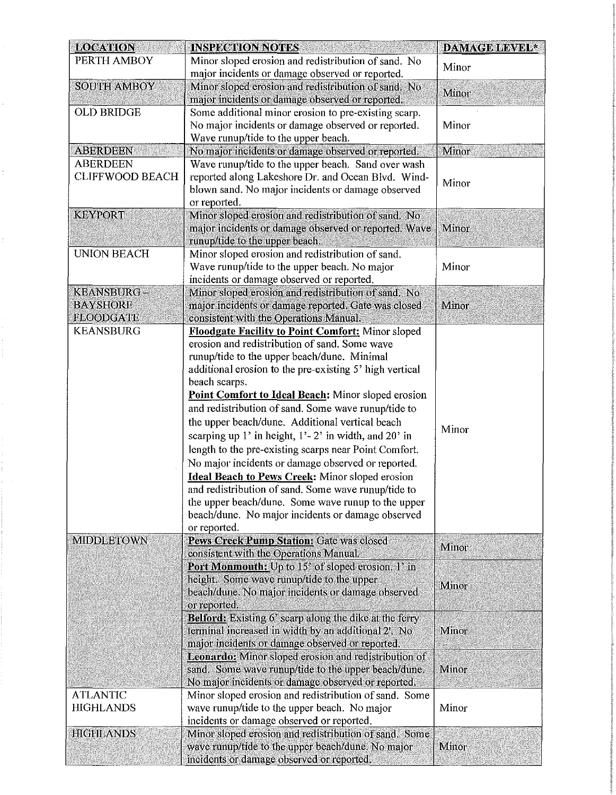| <b>LOCATION</b>                     | <b>INSPECTION NOTES</b>                                                                                                 | <b>DAMAGE LEVEL*</b> |
|-------------------------------------|-------------------------------------------------------------------------------------------------------------------------|----------------------|
| PERTH AMBOY                         | Minor sloped erosion and redistribution of sand. No                                                                     | Minor                |
|                                     | major incidents or damage observed or reported.                                                                         |                      |
| <b>SOUTH AMBOY</b>                  | Minor sloped erosion and redistribution of sand. No<br>major incidents or damage observed or reported.                  | Minor                |
| <b>OLD BRIDGE</b>                   | Some additional minor erosion to pre-existing scarp.                                                                    |                      |
|                                     | No major incidents or damage observed or reported.                                                                      | Minor                |
|                                     | Wave runup/tide to the upper beach.                                                                                     |                      |
| <b>ABERDEEN</b>                     | No major incidents or damage observed or reported.                                                                      | Minor                |
| <b>ABERDEEN</b>                     | Wave runup/tide to the upper beach. Sand over wash.                                                                     |                      |
| <b>CLIFFWOOD BEACH</b>              | reported along Lakeshore Dr. and Ocean Blvd. Wind-<br>blown sand. No major incidents or damage observed<br>or reported. | Minor                |
| <b>KEYPORT</b>                      | Minor sloped erosion and redistribution of sand, No                                                                     |                      |
|                                     | major incidents or damage observed or reported. Wave<br>runup/tide to the upper beach.                                  | Minor                |
| <b>UNION BEACH</b>                  | Minor sloped erosion and redistribution of sand.                                                                        |                      |
|                                     | Wave runup/tide to the upper beach. No major                                                                            | Minor                |
|                                     | incidents or damage observed or reported.                                                                               |                      |
| <b>KEANSBURG-</b>                   | Minor sloped erosion and redistribution of sand. No                                                                     |                      |
| <b>BAYSHORE</b><br><b>FLOODGATE</b> | major incidents or damage reported. Gate was closed<br>consistent with the Operations Manual.                           | Minor                |
| <b>KEANSBURG</b>                    | <b>Floodgate Facility to Point Comfort:</b> Minor sloped                                                                |                      |
|                                     | erosion and redistribution of sand. Some wave                                                                           |                      |
|                                     | runup/tide to the upper beach/dune. Minimal                                                                             |                      |
|                                     | additional erosion to the pre-existing 5' high vertical                                                                 |                      |
|                                     | beach scarps.                                                                                                           |                      |
|                                     | Point Comfort to Ideal Beach: Minor sloped erosion                                                                      |                      |
|                                     | and redistribution of sand. Some wave runup/tide to                                                                     |                      |
|                                     | the upper beach/dune. Additional vertical beach                                                                         | Minor                |
|                                     | scarping up 1' in height, $1'-2'$ in width, and $20'$ in                                                                |                      |
|                                     | length to the pre-existing scarps near Point Comfort.                                                                   |                      |
|                                     | No major incidents or damage observed or reported.                                                                      |                      |
|                                     | <b>Ideal Beach to Pews Creek:</b> Minor sloped erosion                                                                  |                      |
|                                     | and redistribution of sand. Some wave runup/tide to                                                                     |                      |
|                                     | the upper beach/dune. Some wave runup to the upper                                                                      |                      |
|                                     | beach/dune. No major incidents or damage observed                                                                       |                      |
|                                     | or reported.                                                                                                            |                      |
| <b>MIDDLETOWN</b>                   | Pews Creek Pump Station: Gate was closed                                                                                | Minor                |
|                                     | consistent with the Operations Manual.                                                                                  |                      |
|                                     | Port Monmouth: Up to 15' of sloped erosion. 1' in                                                                       |                      |
|                                     | height. Some wave runup/tide to the upper                                                                               | Minor                |
|                                     | beach/dune. No major incidents or damage observed                                                                       |                      |
|                                     | or reported.<br><b>Belford:</b> Existing 6' scarp along the dike at the ferry                                           |                      |
|                                     | terminal increased in width by an additional 2'. No                                                                     | Minor                |
|                                     | major incidents or damage observed or reported.                                                                         |                      |
|                                     | <b>Leonardo:</b> Minor sloped erosion and redistribution of                                                             |                      |
|                                     | sand. Some wave runup/tide to the upper beach/dune.                                                                     | Minor                |
|                                     | No major incidents or damage observed or reported.                                                                      |                      |
| <b>ATLANTIC</b>                     | Minor sloped erosion and redistribution of sand. Some                                                                   |                      |
| <b>HIGHLANDS</b>                    | wave runup/tide to the upper beach. No major                                                                            | Minor                |
|                                     | incidents or damage observed or reported.                                                                               |                      |
| <b>HIGHLANDS</b>                    | Minor sloped erosion and redistribution of sand. Some                                                                   |                      |
|                                     | wave runup/tide to the upper beach/dune. No major                                                                       | Minor                |
|                                     | incidents or damage observed or reported.                                                                               |                      |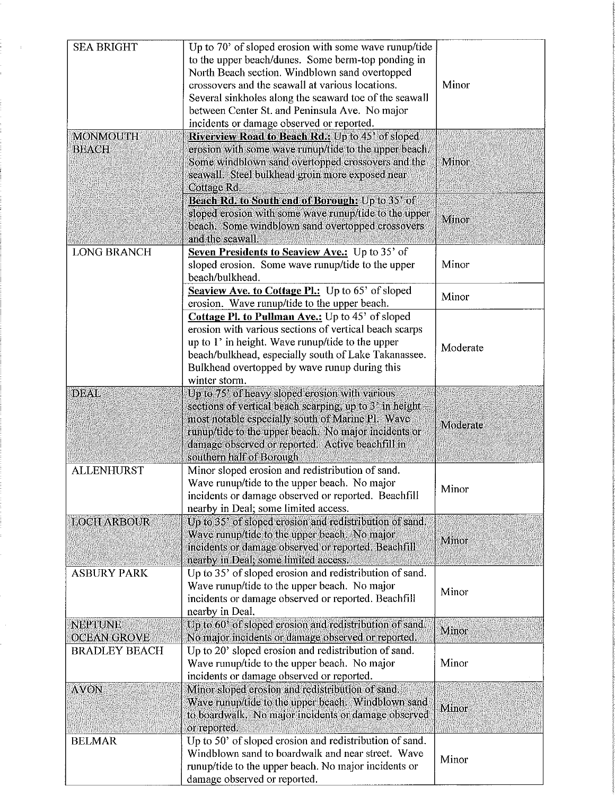| <b>SEA BRIGHT</b>    | Up to 70' of sloped erosion with some wave runup/tide         |          |
|----------------------|---------------------------------------------------------------|----------|
|                      | to the upper beach/dunes. Some berm-top ponding in            |          |
|                      | North Beach section. Windblown sand overtopped                |          |
|                      | crossovers and the seawall at various locations.              | Minor    |
|                      | Several sinkholes along the seaward toe of the seawall        |          |
|                      | between Center St. and Peninsula Ave. No major                |          |
|                      | incidents or damage observed or reported.                     |          |
| <b>MONMOUTH</b>      | Riverview Road to Beach Rd.: Up to 45' of sloped              |          |
| <b>BEACH</b>         | erosion with some wave runup/tide to the upper beach.         |          |
|                      | Some windblown sand overtopped crossovers and the             | Minor    |
|                      | seawall. Steel bulkhead groin more exposed near               |          |
|                      | Cottage Rd.                                                   |          |
|                      | Beach Rd. to South end of Borough: Up to 35' of               |          |
|                      | sloped erosion with some wave runup/tide to the upper         | Minor    |
|                      | beach. Some windblown sand overtopped crossovers              |          |
|                      | and the seawall.                                              |          |
| <b>LONG BRANCH</b>   | Seven Presidents to Seaview Ave.: Up to 35' of                |          |
|                      | sloped erosion. Some wave runup/tide to the upper             | Minor    |
|                      | beach/bulkhead.                                               |          |
|                      | Seaview Ave. to Cottage Pl.: Up to 65' of sloped              | Minor    |
|                      | erosion. Wave runup/tide to the upper beach.                  |          |
|                      | Cottage Pl. to Pullman Ave.: Up to 45' of sloped              |          |
|                      | erosion with various sections of vertical beach scarps        |          |
|                      | up to 1' in height. Wave runup/tide to the upper              |          |
|                      | beach/bulkhead, especially south of Lake Takanassee.          | Moderate |
|                      | Bulkhead overtopped by wave runup during this                 |          |
|                      | winter storm.                                                 |          |
| DEAL                 | Up to 75' of heavy sloped erosion with various                |          |
|                      | sections of vertical beach scarping, up to $3'$ in height $-$ |          |
|                      | most notable especially south of Marine Pl. Wave              |          |
|                      | runup/tide to the upper beach. No major incidents or          | Moderate |
|                      | damage observed or reported. Active beachfill in              |          |
|                      | southern half of Borough                                      |          |
| <b>ALLENHURST</b>    | Minor sloped erosion and redistribution of sand.              |          |
|                      | Wave runup/tide to the upper beach. No major                  |          |
|                      | incidents or damage observed or reported. Beachfill           | Minor    |
|                      | nearby in Deal; some limited access.                          |          |
| <b>LOCH ARBOUR</b>   | Up to 35' of sloped erosion and redistribution of sand.       |          |
|                      | Wave runup/tide to the upper beach. No major                  |          |
|                      | incidents or damage observed or reported. Beachfill           | Minor    |
|                      | nearby in Deal; some limited access.                          |          |
| <b>ASBURY PARK</b>   | Up to 35' of sloped erosion and redistribution of sand.       |          |
|                      | Wave runup/tide to the upper beach. No major                  |          |
|                      | incidents or damage observed or reported. Beachfill           | Minor    |
|                      | nearby in Deal.                                               |          |
| <b>NEPTUNE</b>       | Up to 60' of sloped erosion and redistribution of sand.       |          |
| <b>OCEAN GROVE</b>   | No major incidents or damage observed or reported.            | Minor    |
| <b>BRADLEY BEACH</b> | Up to 20' sloped erosion and redistribution of sand.          |          |
|                      | Wave runup/tide to the upper beach. No major                  | Minor    |
|                      | incidents or damage observed or reported.                     |          |
| <b>AVON</b>          | Minor sloped erosion and redistribution of sand.              |          |
|                      | Wave runup/tide to the upper beach. Windblown sand            |          |
|                      | to boardwalk. No major incidents or damage observed           | Minor    |
|                      | or reported.                                                  |          |
| <b>BELMAR</b>        | Up to 50' of sloped erosion and redistribution of sand.       |          |
|                      | Windblown sand to boardwalk and near street. Wave             |          |
|                      | runup/tide to the upper beach. No major incidents or          | Minor    |
|                      | damage observed or reported.                                  |          |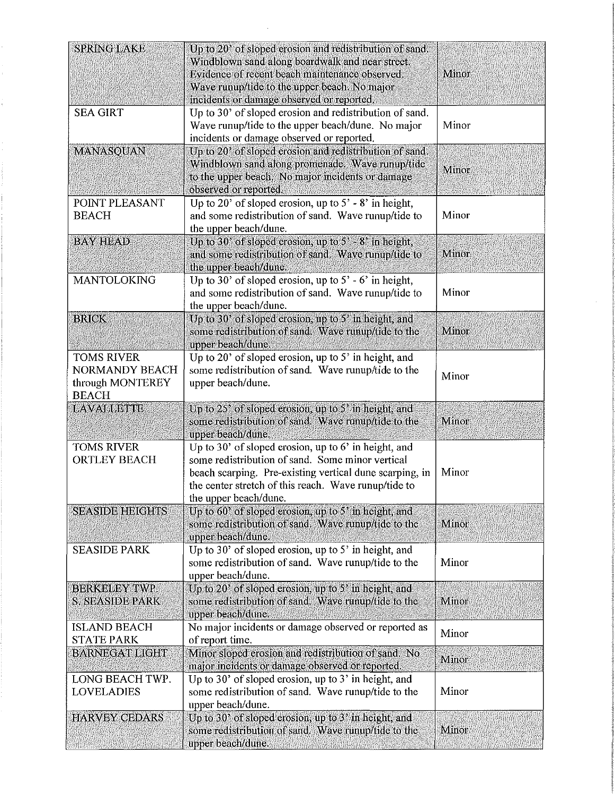| <b>SPRING LAKE</b>                                                      | Up to 20' of sloped crosion and redistribution of sand.<br>Windblown sand along boardwalk and near street.<br>Evidence of recent beach maintenance observed.                                                                                           | Minor        |
|-------------------------------------------------------------------------|--------------------------------------------------------------------------------------------------------------------------------------------------------------------------------------------------------------------------------------------------------|--------------|
|                                                                         | Wave runup/tide to the upper beach. No major<br>incidents or damage observed or reported.                                                                                                                                                              |              |
| <b>SEA GIRT</b>                                                         | Up to 30' of sloped erosion and redistribution of sand.<br>Wave runup/tide to the upper beach/dune. No major<br>incidents or damage observed or reported.                                                                                              | Minor        |
| <b>MANASQUAN</b>                                                        | Up to 20' of sloped erosion and redistribution of sand.<br>Windblown sand along promenade. Wave runup/tide<br>to the upper beach. No major incidents or damage<br>observed or reported.                                                                | <b>Minor</b> |
| POINT PLEASANT<br><b>BEACH</b>                                          | Up to 20' of sloped erosion, up to $5'$ - 8' in height,<br>and some redistribution of sand. Wave runup/tide to<br>the upper beach/dune.                                                                                                                | Minor        |
| <b>BAY HEAD</b>                                                         | Up to $30'$ of sloped erosion, up to $5'$ - $8'$ in height,<br>and some redistribution of sand. Wave runup/tide to<br>the upper beach/dune.                                                                                                            | Minor        |
| <b>MANTOLOKING</b>                                                      | Up to 30' of sloped erosion, up to $5'$ - $6'$ in height,<br>and some redistribution of sand. Wave runup/tide to<br>the upper beach/dune.                                                                                                              | Minor        |
| <b>BRICK</b>                                                            | Up to 30' of sloped erosion, up to 5' in height, and<br>some redistribution of sand. Wave runup/tide to the<br>upper beach/dune.                                                                                                                       | Minor        |
| <b>TOMS RIVER</b><br>NORMANDY BEACH<br>through MONTEREY<br><b>BEACH</b> | Up to 20' of sloped erosion, up to 5' in height, and<br>some redistribution of sand. Wave runup/tide to the<br>upper beach/dune.                                                                                                                       | Minor        |
| <b>LAVALLETTE</b>                                                       | Up to $25'$ of sloped erosion, up to $5'$ in height, and<br>some redistribution of sand. Wave runup/tide to the<br>upper beach/dune.                                                                                                                   | Minor        |
| <b>TOMS RIVER</b><br><b>ORTLEY BEACH</b>                                | Up to 30' of sloped erosion, up to $6'$ in height, and<br>some redistribution of sand. Some minor vertical<br>beach scarping. Pre-existing vertical dune scarping, in<br>the center stretch of this reach. Wave runup/tide to<br>the upper beach/dune. | Minor        |
| <b>SEASIDE HEIGHTS</b>                                                  | Up to $60$ ' of sloped erosion, up to $5$ ' in height, and<br>some redistribution of sand. Wave runup/tide to the<br>upper beach/dune.                                                                                                                 | Minor        |
| <b>SEASIDE PARK</b>                                                     | Up to 30' of sloped erosion, up to 5' in height, and<br>some redistribution of sand. Wave runup/tide to the<br>upper beach/dune.                                                                                                                       | Minor        |
| <b>BERKELEY TWP.</b><br><b>S. SEASIDE PARK</b>                          | Up to 20' of sloped erosion, up to 5' in height, and<br>some redistribution of sand. Wave runup/tide to the<br>upper beach/dune.                                                                                                                       | Minor        |
| <b>ISLAND BEACH</b><br><b>STATE PARK</b>                                | No major incidents or damage observed or reported as<br>of report time.                                                                                                                                                                                | Minor        |
| <b>BARNEGAT LIGHT</b><br>LONG BEACH TWP.                                | Minor sloped erosion and redistribution of sand. No<br>major incidents or damage observed or reported.<br>Up to 30' of sloped erosion, up to 3' in height, and                                                                                         | Minor        |
| <b>LOVELADIES</b>                                                       | some redistribution of sand. Wave runup/tide to the<br>upper beach/dune.                                                                                                                                                                               | Minor        |
| <b>HARVEY CEDARS</b>                                                    | Up to 30' of sloped erosion, up to 3' in height, and<br>some redistribution of sand. Wave runup/tide to the<br>upper beach/dune.                                                                                                                       | Minor        |

 $\mathcal{L}^{\text{max}}_{\text{max}}$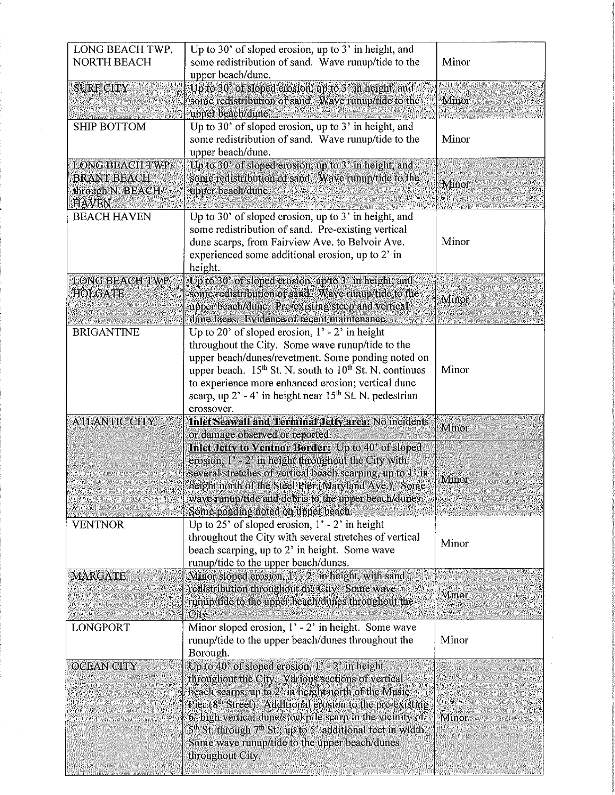| LONG BEACH TWP.<br><b>NORTH BEACH</b>                                     | Up to 30' of sloped erosion, up to $3'$ in height, and<br>some redistribution of sand. Wave runup/tide to the<br>upper beach/dune.                                                                                                                                                                                                                                                                                                | Minor          |
|---------------------------------------------------------------------------|-----------------------------------------------------------------------------------------------------------------------------------------------------------------------------------------------------------------------------------------------------------------------------------------------------------------------------------------------------------------------------------------------------------------------------------|----------------|
| <b>SURF CITY</b>                                                          | Up to 30' of sloped erosion, up to 3' in height, and<br>some redistribution of sand. Wave runup/tide to the<br>upper beach/dune.                                                                                                                                                                                                                                                                                                  | Minor          |
| <b>SHIP BOTTOM</b>                                                        | Up to 30' of sloped erosion, up to 3' in height, and<br>some redistribution of sand. Wave runup/tide to the<br>upper beach/dune.                                                                                                                                                                                                                                                                                                  | Minor          |
| LONG BEACH TWP.<br><b>BRANT BEACH</b><br>through N. BEACH<br><b>HAVEN</b> | Up to 30' of sloped erosion, up to 3' in height, and<br>some redistribution of sand. Wave runup/tide to the<br>upper beach/dune.                                                                                                                                                                                                                                                                                                  | Minor          |
| <b>BEACH HAVEN</b>                                                        | Up to 30' of sloped erosion, up to 3' in height, and<br>some redistribution of sand. Pre-existing vertical<br>dune scarps, from Fairview Ave. to Belvoir Ave.<br>experienced some additional erosion, up to 2' in<br>height.                                                                                                                                                                                                      | Minor          |
| <b>LONG BEACH TWP.</b><br><b>HOLGATE</b>                                  | Up to 30' of sloped erosion, up to 3' in height, and<br>some redistribution of sand. Wave runup/tide to the<br>upper beach/dune. Pre-existing steep and vertical<br>dune faces. Evidence of recent maintenance.                                                                                                                                                                                                                   | Minor          |
| <b>BRIGANTINE</b>                                                         | Up to 20' of sloped erosion, $1'$ - 2' in height<br>throughout the City. Some wave runup/tide to the<br>upper beach/dunes/revetment. Some ponding noted on<br>upper beach. $15th$ St. N. south to $10th$ St. N. continues<br>to experience more enhanced erosion; vertical dune<br>scarp, up $2^{\prime}$ - 4' in height near $15^{\text{th}}$ St. N. pedestrian<br>crossover.                                                    | Minor          |
| <b>ATLANTIC CITY</b>                                                      | <b>Inlet Seawall and Terminal Jetty area: No incidents</b><br>or damage observed or reported.<br>Inlet Jetty to Ventnor Border: Up to 40' of sloped<br>erosion, $1^3 - 2^3$ in height throughout the City with<br>several stretches of vertical beach scarping, up to 1' in<br>height north of the Steel Pier (Maryland Ave.). Some<br>wave runup/tide and debris to the upper beach/dunes.<br>Some ponding noted on upper beach. | Minor<br>Minor |
| <b>VENTNOR</b>                                                            | Up to 25' of sloped erosion, $1'$ - 2' in height<br>throughout the City with several stretches of vertical<br>beach scarping, up to 2' in height. Some wave<br>runup/tide to the upper beach/dunes.                                                                                                                                                                                                                               | Minor          |
| <b>MARGATE</b>                                                            | Minor sloped erosion, $1' - 2'$ in height, with sand<br>redistribution throughout the City. Some wave<br>runup/tide to the upper beach/dunes throughout the<br>City.                                                                                                                                                                                                                                                              | Minor          |
| <b>LONGPORT</b>                                                           | Minor sloped erosion, $1' - 2'$ in height. Some wave<br>runup/tide to the upper beach/dunes throughout the<br>Borough.                                                                                                                                                                                                                                                                                                            | Minor          |
| <b>OCEAN CITY</b>                                                         | Up to 40' of sloped erosion, $1' - 2'$ in height<br>throughout the City. Various sections of vertical<br>beach scarps, up to 2' in height north of the Music<br>Pier ( $8th$ Street). Additional erosion to the pre-existing<br>6' high vertical dune/stockpile scarp in the vicinity of<br>$5th$ St, through $7th$ St,; up to 5' additional feet in width.<br>Some wave runup/tide to the upper beach/dunes<br>throughout City.  | Minor          |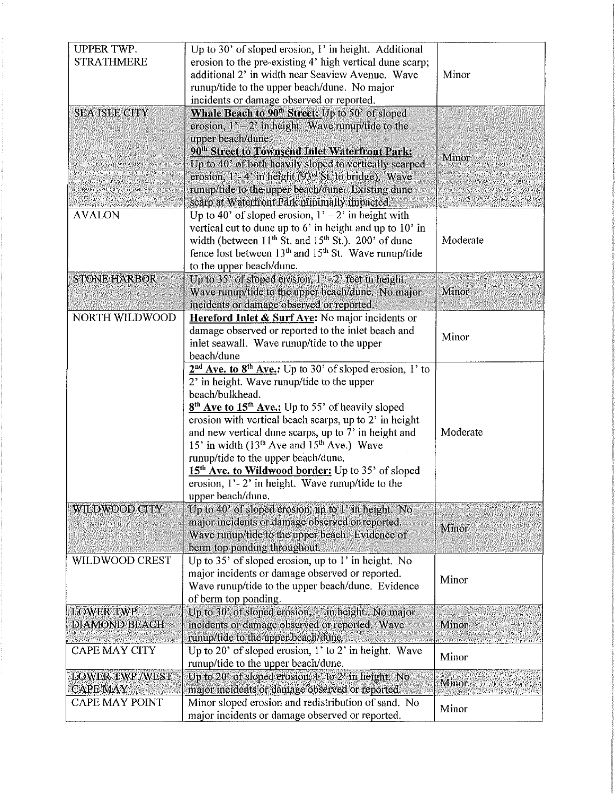| <b>UPPER TWP.</b>      | Up to 30' of sloped erosion, 1' in height. Additional                     |          |
|------------------------|---------------------------------------------------------------------------|----------|
| <b>STRATHMERE</b>      | erosion to the pre-existing 4' high vertical dune scarp;                  |          |
|                        | additional 2' in width near Seaview Avenue. Wave                          | Minor    |
|                        | runup/tide to the upper beach/dune. No major                              |          |
|                        | incidents or damage observed or reported.                                 |          |
|                        |                                                                           |          |
| <b>SEA ISLE CITY</b>   | Whale Beach to 90 <sup>th</sup> Street: Up to 50' of sloped               |          |
|                        | erosion, $1' - 2'$ in height. Wave runup/tide to the                      |          |
|                        | upper beach/dune.                                                         |          |
|                        | 90 <sup>th</sup> Street to Townsend Inlet Waterfront Park:                | Minor    |
|                        | Up to 40' of both heavily sloped to vertically scarped                    |          |
|                        | erosion, $1'$ - 4' in height (93 <sup>rd</sup> St. to bridge). Wave       |          |
|                        | runup/tide to the upper beach/dune. Existing dune                         |          |
|                        | scarp at Waterfront Park minimally impacted.                              |          |
| <b>AVALON</b>          | Up to 40' of sloped erosion, $1' - 2'$ in height with                     |          |
|                        | vertical cut to dune up to $6'$ in height and up to $10'$ in              |          |
|                        | width (between $11^{th}$ St. and $15^{th}$ St.). 200' of dune             | Moderate |
|                        | fence lost between $13th$ and $15th$ St. Wave runup/tide                  |          |
|                        | to the upper beach/dune.                                                  |          |
| <b>STONE HARBOR</b>    | Up to 35' of sloped erosion, 1' - 2' feet in height.                      |          |
|                        | Wave runup/tide to the upper beach/dune. No major                         | Minor    |
|                        | incidents or damage observed or reported,                                 |          |
| NORTH WILDWOOD         | Hereford Inlet & Surf Ave: No major incidents or                          |          |
|                        | damage observed or reported to the inlet beach and                        |          |
|                        | inlet seawall. Wave runup/tide to the upper                               | Minor    |
|                        | beach/dune                                                                |          |
|                        | $2nd$ Ave. to $8th$ Ave.: Up to 30' of sloped erosion, 1' to              |          |
|                        | 2' in height. Wave runup/tide to the upper                                |          |
|                        | beach/bulkhead.                                                           |          |
|                        | 8 <sup>th</sup> Ave to 15 <sup>th</sup> Ave.: Up to 55' of heavily sloped |          |
|                        | erosion with vertical beach scarps, up to 2' in height                    |          |
|                        | and new vertical dune scarps, up to 7' in height and                      | Moderate |
|                        | 15' in width $(13th$ Ave and $15th$ Ave.) Wave                            |          |
|                        | runup/tide to the upper beach/dune.                                       |          |
|                        | 15 <sup>th</sup> Ave. to Wildwood border: Up to 35' of sloped             |          |
|                        | erosion, $1'-2'$ in height. Wave runup/tide to the                        |          |
|                        | upper beach/dune.                                                         |          |
| <b>WILDWOOD CITY</b>   | Up to 40' of sloped erosion, up to 1' in height. No                       |          |
|                        | major incidents or damage observed or reported.                           |          |
|                        | Wave runup/tide to the upper beach. Evidence of                           | Minor    |
|                        | berm top ponding throughout.                                              |          |
| WILDWOOD CREST         | Up to 35' of sloped erosion, up to 1' in height. No                       |          |
|                        | major incidents or damage observed or reported.                           |          |
|                        |                                                                           | Minor    |
|                        | Wave runup/tide to the upper beach/dune. Evidence                         |          |
|                        | of berm top ponding.                                                      |          |
| <b>LOWER TWP.</b>      | Up to 30' of sloped erosion, 1' in height. No major                       |          |
| <b>DIAMOND BEACH</b>   | incidents or damage observed or reported. Wave                            | Minor    |
|                        | runup/tide to the upper beach/dune                                        |          |
| <b>CAPE MAY CITY</b>   | Up to 20' of sloped erosion, $1'$ to $2'$ in height. Wave                 | Minor    |
|                        | runup/tide to the upper beach/dune.                                       |          |
| <b>LOWER TWP./WEST</b> | Up to 20' of sloped erosion, 1' to 2' in height. No                       | Minor    |
| <b>CAPE MAY</b>        | major incidents or damage observed or reported.                           |          |
| <b>CAPE MAY POINT</b>  | Minor sloped erosion and redistribution of sand. No                       | Minor    |
|                        | major incidents or damage observed or reported.                           |          |